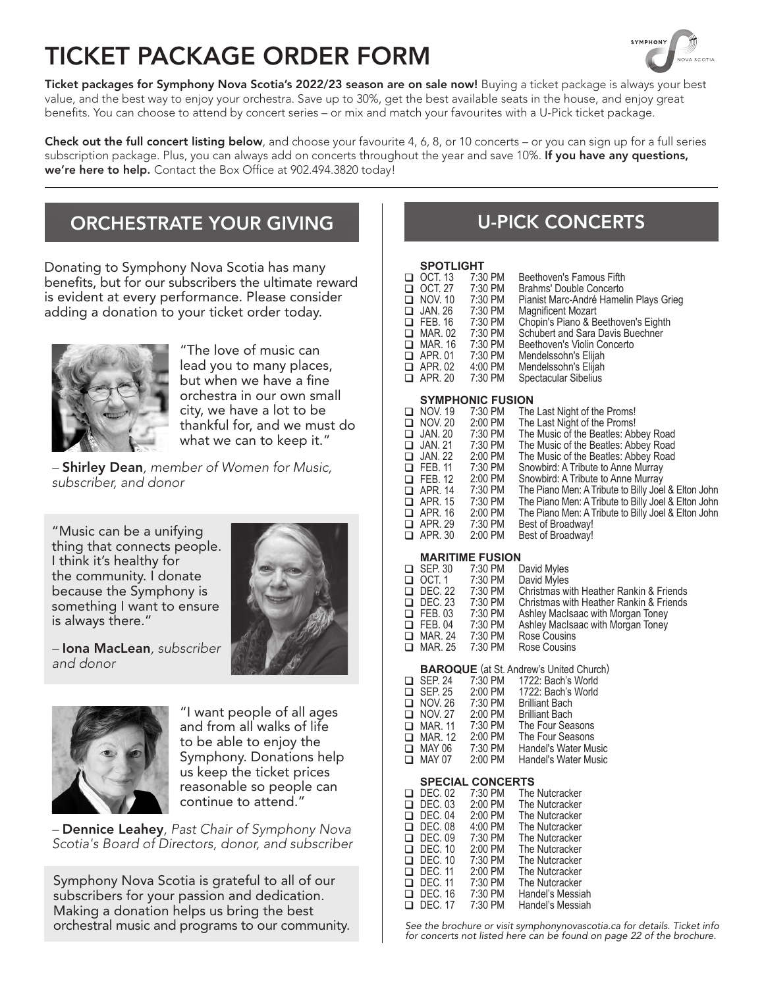# TICKET PACKAGE ORDER FORM



Ticket packages for Symphony Nova Scotia's 2022/23 season are on sale now! Buying a ticket package is always your best value, and the best way to enjoy your orchestra. Save up to 30%, get the best available seats in the house, and enjoy great benefits. You can choose to attend by concert series – or mix and match your favourites with a U-Pick ticket package.

Check out the full concert listing below, and choose your favourite 4, 6, 8, or 10 concerts – or you can sign up for a full series subscription package. Plus, you can always add on concerts throughout the year and save 10%. If you have any questions, we're here to help. Contact the Box Office at 902.494.3820 today!

## ORCHESTRATE YOUR GIVING

Donating to Symphony Nova Scotia has many benefits, but for our subscribers the ultimate reward is evident at every performance. Please consider adding a donation to your ticket order today.



"The love of music can lead you to many places, but when we have a fine orchestra in our own small city, we have a lot to be thankful for, and we must do what we can to keep it."

*–* Shirley Dean*, member of Women for Music, subscriber, and donor*

"Music can be a unifying thing that connects people. I think it's healthy for the community. I donate because the Symphony is something I want to ensure is always there."



*–* Iona MacLean*, subscriber and donor*



"I want people of all ages and from all walks of life to be able to enjoy the Symphony. Donations help us keep the ticket prices reasonable so people can continue to attend."

*–* Dennice Leahey*, Past Chair of Symphony Nova Scotia's Board of Directors, donor, and subscriber*

Symphony Nova Scotia is grateful to all of our subscribers for your passion and dedication. Making a donation helps us bring the best orchestral music and programs to our community.

## U-PICK CONCERTS

### **SPOTLIGHT**

| Pianist Marc-André Hamelin Plays Grieg |
|----------------------------------------|
|                                        |
|                                        |
|                                        |
|                                        |
|                                        |
|                                        |
|                                        |
|                                        |
|                                        |
|                                        |
|                                        |
|                                        |
|                                        |
|                                        |
|                                        |
|                                        |

| $\Box$ FEB. 11 | 7:30 PM   | Snowbird: A Tribute to Anne Murray                  |
|----------------|-----------|-----------------------------------------------------|
| $\Box$ FEB. 12 | 2:00 PM   | Snowbird: A Tribute to Anne Murray                  |
| $\Box$ APR. 14 | $7:30$ PM | The Piano Men: A Tribute to Billy Joel & Elton John |
| $\Box$ APR. 15 | 7:30 PM   | The Piano Men: A Tribute to Billy Joel & Elton John |
| $\Box$ APR. 16 | $2:00$ PM | The Piano Men: A Tribute to Billy Joel & Elton John |
| $\Box$ APR. 29 | 7:30 PM   | Best of Broadway!                                   |
| $\Box$ APR. 30 | 2:00 PM   | Best of Broadway!                                   |
|                |           |                                                     |

### **MARITIME FUSION**

|        |                | MARITIME FUSION |                                         |
|--------|----------------|-----------------|-----------------------------------------|
|        | $\Box$ SEP. 30 | 7:30 PM         | David Myles                             |
|        | $\Box$ OCT. 1  | 7:30 PM         | David Myles                             |
|        | $\Box$ DEC. 22 | 7:30 PM         | Christmas with Heather Rankin & Friends |
|        | $\Box$ DEC. 23 | 7:30 PM         | Christmas with Heather Rankin & Friends |
|        | $\Box$ FEB.03  | 7:30 PM         | Ashley MacIsaac with Morgan Toney       |
|        | $\Box$ FEB. 04 | 7:30 PM         | Ashley MacIsaac with Morgan Toney       |
| $\Box$ | MAR. 24        | 7:30 PM         | Rose Cousins                            |
|        | $\Box$ MAR, 25 | 7:30 PM         | Rose Cousins                            |
|        |                |                 |                                         |

#### **BAROQUE** (at St. Andrew's United Church)  $\Box$  SEP. 24  $CED$  $25$ 1722: Bach's World 1722: Bach's World 7:30 PM 2:00 PM ā

| __ ULL. 20     | $L.UU$ $I$ $IVI$ | TI LL. DUVITO VYVIIU        |
|----------------|------------------|-----------------------------|
| $\Box$ NOV. 26 | 7:30 PM          | <b>Brilliant Bach</b>       |
| $\Box$ NOV. 27 | $2:00$ PM        | <b>Brilliant Bach</b>       |
| $\Box$ MAR. 11 | 7:30 PM          | The Four Seasons            |
| $\Box$ MAR. 12 | 2:00 PM          | The Four Seasons            |
| $\Box$ MAY 06  | 7:30 PM          | <b>Handel's Water Music</b> |
| $\Box$ MAY 07  | 2:00 PM          | <b>Handel's Water Music</b> |
|                |                  |                             |

## **SPECIAL CONCERTS**

| ⊓  | DEC. 02        | 7:30 PM   | The Nutcracker   |
|----|----------------|-----------|------------------|
| □  | DEC 03         | 2:00 PM   | The Nutcracker   |
| ⊓  | DEC. 04        | $2:00$ PM | The Nutcracker   |
| ⊓  | <b>DEC. 08</b> | $4:00$ PM | The Nutcracker   |
| ⊓  | DEC. 09        | 7:30 PM   | The Nutcracker   |
| n. | <b>DEC. 10</b> | 2:00 PM   | The Nutcracker   |
| n  | DEC. 10        | 7:30 PM   | The Nutcracker   |
| ⊓  | DFC 11         | 2:00 PM   | The Nutcracker   |
| □  | DFC 11         | 7:30 PM   | The Nutcracker   |
|    | $\Box$ DEC. 16 | 7:30 PM   | Handel's Messiah |
|    | $\Box$ DEC. 17 | 7:30 PM   | Handel's Messiah |
|    |                |           |                  |

*See the brochure or visit symphonynovascotia.ca for details. Ticket info for concerts not listed here can be found on page 22 of the brochure.*